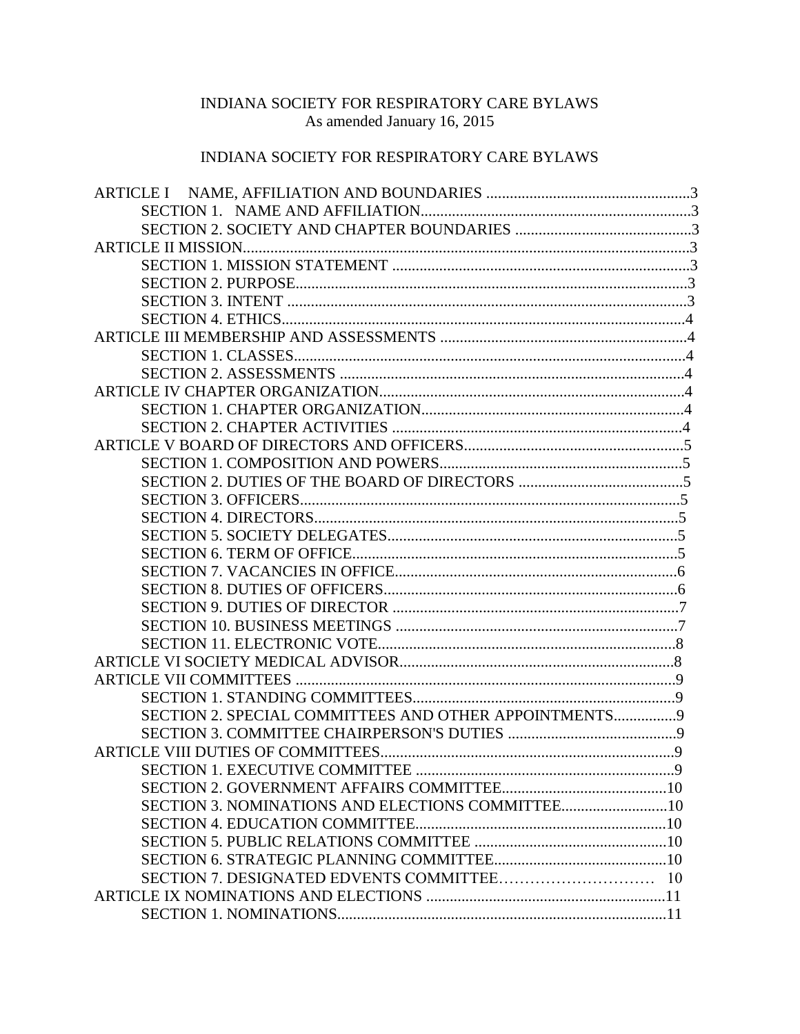# INDIANA SOCIETY FOR RESPIRATORY CARE BYLAWS As amended January 16, 2015

# INDIANA SOCIETY FOR RESPIRATORY CARE BYLAWS

| SECTION 2. SPECIAL COMMITTEES AND OTHER APPOINTMENTS9 |  |
|-------------------------------------------------------|--|
|                                                       |  |
|                                                       |  |
|                                                       |  |
|                                                       |  |
| SECTION 3. NOMINATIONS AND ELECTIONS COMMITTEE10      |  |
|                                                       |  |
|                                                       |  |
|                                                       |  |
|                                                       |  |
|                                                       |  |
|                                                       |  |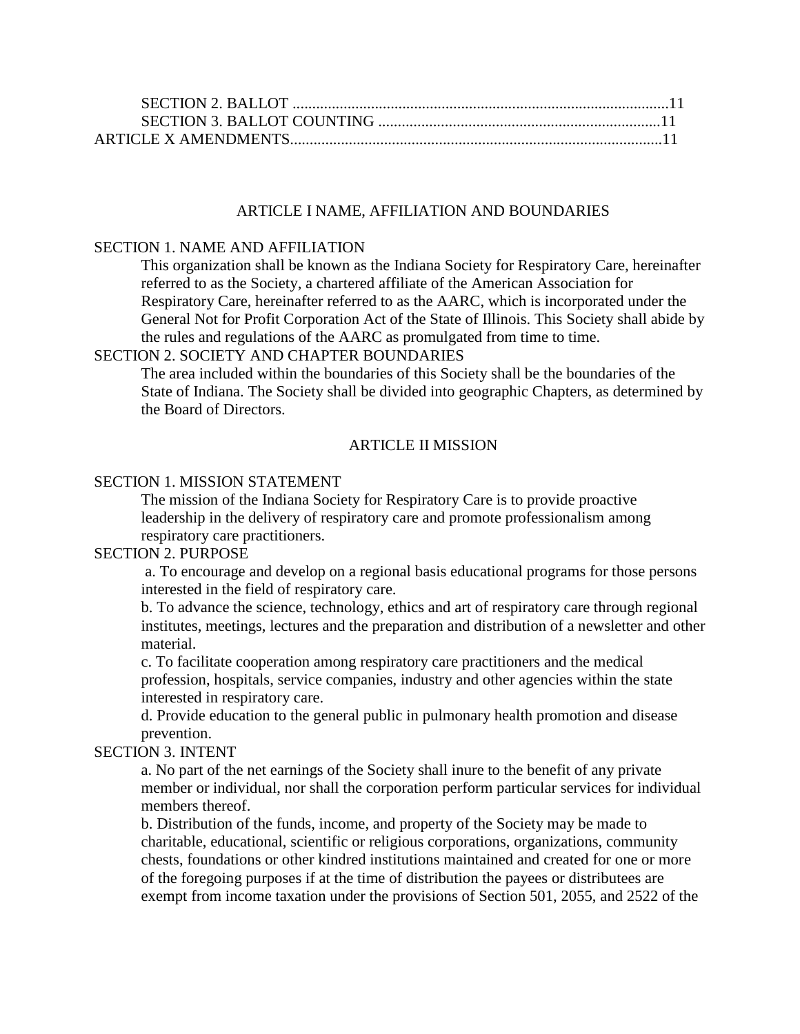### ARTICLE I NAME, AFFILIATION AND BOUNDARIES

### SECTION 1. NAME AND AFFILIATION

This organization shall be known as the Indiana Society for Respiratory Care, hereinafter referred to as the Society, a chartered affiliate of the American Association for Respiratory Care, hereinafter referred to as the AARC, which is incorporated under the General Not for Profit Corporation Act of the State of Illinois. This Society shall abide by the rules and regulations of the AARC as promulgated from time to time.

#### SECTION 2. SOCIETY AND CHAPTER BOUNDARIES

The area included within the boundaries of this Society shall be the boundaries of the State of Indiana. The Society shall be divided into geographic Chapters, as determined by the Board of Directors.

### ARTICLE II MISSION

## SECTION 1. MISSION STATEMENT

The mission of the Indiana Society for Respiratory Care is to provide proactive leadership in the delivery of respiratory care and promote professionalism among respiratory care practitioners.

#### SECTION 2. PURPOSE

a. To encourage and develop on a regional basis educational programs for those persons interested in the field of respiratory care.

b. To advance the science, technology, ethics and art of respiratory care through regional institutes, meetings, lectures and the preparation and distribution of a newsletter and other material.

c. To facilitate cooperation among respiratory care practitioners and the medical profession, hospitals, service companies, industry and other agencies within the state interested in respiratory care.

d. Provide education to the general public in pulmonary health promotion and disease prevention.

#### SECTION 3. INTENT

a. No part of the net earnings of the Society shall inure to the benefit of any private member or individual, nor shall the corporation perform particular services for individual members thereof.

b. Distribution of the funds, income, and property of the Society may be made to charitable, educational, scientific or religious corporations, organizations, community chests, foundations or other kindred institutions maintained and created for one or more of the foregoing purposes if at the time of distribution the payees or distributees are exempt from income taxation under the provisions of Section 501, 2055, and 2522 of the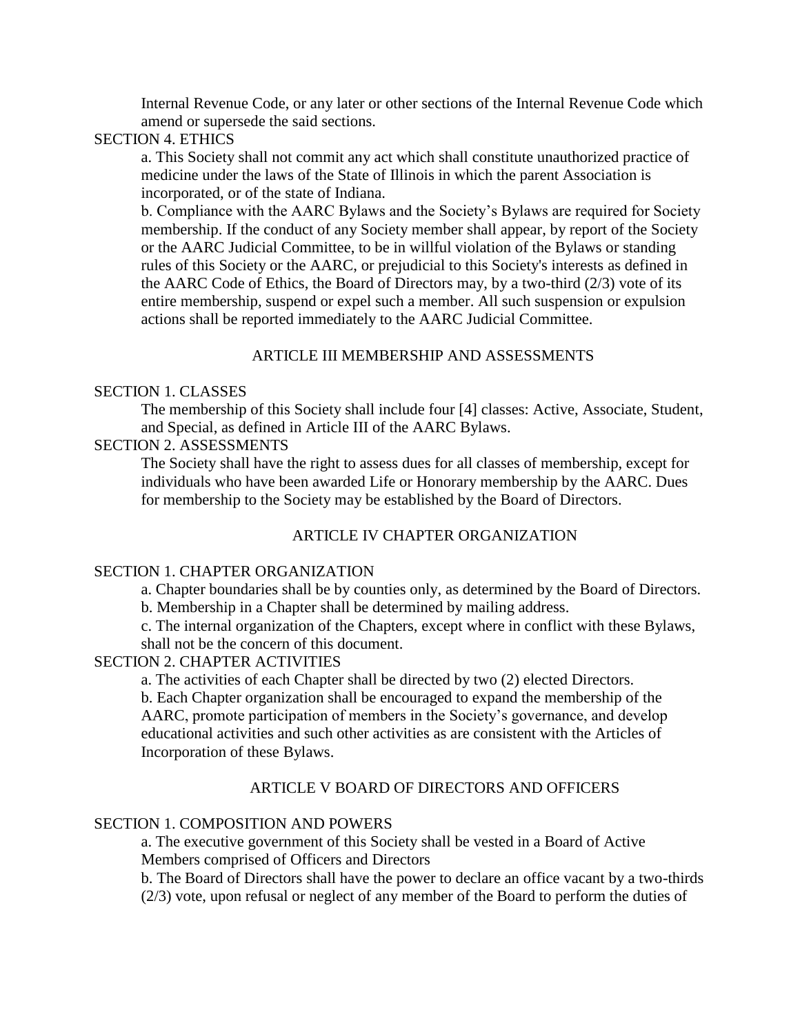Internal Revenue Code, or any later or other sections of the Internal Revenue Code which amend or supersede the said sections.

### SECTION 4. ETHICS

a. This Society shall not commit any act which shall constitute unauthorized practice of medicine under the laws of the State of Illinois in which the parent Association is incorporated, or of the state of Indiana.

b. Compliance with the AARC Bylaws and the Society's Bylaws are required for Society membership. If the conduct of any Society member shall appear, by report of the Society or the AARC Judicial Committee, to be in willful violation of the Bylaws or standing rules of this Society or the AARC, or prejudicial to this Society's interests as defined in the AARC Code of Ethics, the Board of Directors may, by a two-third (2/3) vote of its entire membership, suspend or expel such a member. All such suspension or expulsion actions shall be reported immediately to the AARC Judicial Committee.

## ARTICLE III MEMBERSHIP AND ASSESSMENTS

### SECTION 1. CLASSES

The membership of this Society shall include four [4] classes: Active, Associate, Student, and Special, as defined in Article III of the AARC Bylaws.

## SECTION 2. ASSESSMENTS

The Society shall have the right to assess dues for all classes of membership, except for individuals who have been awarded Life or Honorary membership by the AARC. Dues for membership to the Society may be established by the Board of Directors.

### ARTICLE IV CHAPTER ORGANIZATION

#### SECTION 1. CHAPTER ORGANIZATION

a. Chapter boundaries shall be by counties only, as determined by the Board of Directors. b. Membership in a Chapter shall be determined by mailing address.

c. The internal organization of the Chapters, except where in conflict with these Bylaws,

shall not be the concern of this document.

### SECTION 2. CHAPTER ACTIVITIES

a. The activities of each Chapter shall be directed by two (2) elected Directors.

b. Each Chapter organization shall be encouraged to expand the membership of the AARC, promote participation of members in the Society's governance, and develop educational activities and such other activities as are consistent with the Articles of Incorporation of these Bylaws.

#### ARTICLE V BOARD OF DIRECTORS AND OFFICERS

### SECTION 1. COMPOSITION AND POWERS

a. The executive government of this Society shall be vested in a Board of Active Members comprised of Officers and Directors

b. The Board of Directors shall have the power to declare an office vacant by a two-thirds (2/3) vote, upon refusal or neglect of any member of the Board to perform the duties of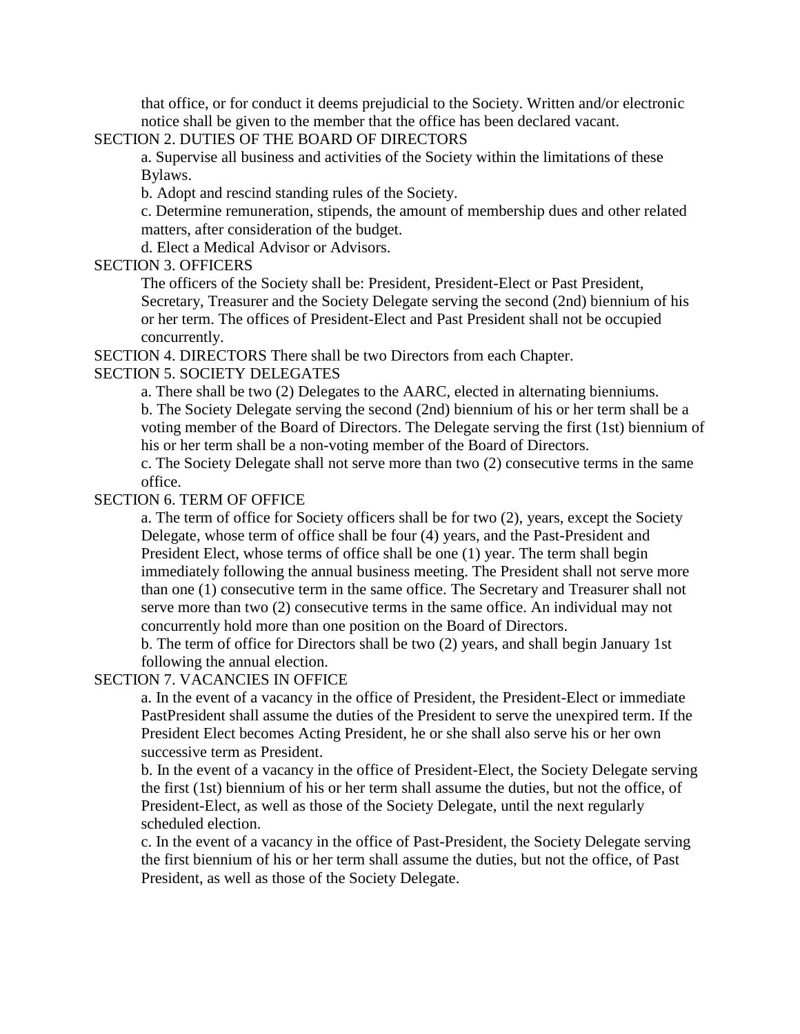that office, or for conduct it deems prejudicial to the Society. Written and/or electronic notice shall be given to the member that the office has been declared vacant.

## SECTION 2. DUTIES OF THE BOARD OF DIRECTORS

a. Supervise all business and activities of the Society within the limitations of these Bylaws.

b. Adopt and rescind standing rules of the Society.

c. Determine remuneration, stipends, the amount of membership dues and other related matters, after consideration of the budget.

d. Elect a Medical Advisor or Advisors.

### SECTION 3. OFFICERS

The officers of the Society shall be: President, President-Elect or Past President, Secretary, Treasurer and the Society Delegate serving the second (2nd) biennium of his or her term. The offices of President-Elect and Past President shall not be occupied concurrently.

SECTION 4. DIRECTORS There shall be two Directors from each Chapter.

## SECTION 5. SOCIETY DELEGATES

a. There shall be two (2) Delegates to the AARC, elected in alternating bienniums. b. The Society Delegate serving the second (2nd) biennium of his or her term shall be a voting member of the Board of Directors. The Delegate serving the first (1st) biennium of his or her term shall be a non-voting member of the Board of Directors.

c. The Society Delegate shall not serve more than two (2) consecutive terms in the same office.

## SECTION 6. TERM OF OFFICE

a. The term of office for Society officers shall be for two (2), years, except the Society Delegate, whose term of office shall be four (4) years, and the Past-President and President Elect, whose terms of office shall be one (1) year. The term shall begin immediately following the annual business meeting. The President shall not serve more than one (1) consecutive term in the same office. The Secretary and Treasurer shall not serve more than two (2) consecutive terms in the same office. An individual may not concurrently hold more than one position on the Board of Directors.

b. The term of office for Directors shall be two (2) years, and shall begin January 1st following the annual election.

## SECTION 7. VACANCIES IN OFFICE

a. In the event of a vacancy in the office of President, the President-Elect or immediate PastPresident shall assume the duties of the President to serve the unexpired term. If the President Elect becomes Acting President, he or she shall also serve his or her own successive term as President.

b. In the event of a vacancy in the office of President-Elect, the Society Delegate serving the first (1st) biennium of his or her term shall assume the duties, but not the office, of President-Elect, as well as those of the Society Delegate, until the next regularly scheduled election.

c. In the event of a vacancy in the office of Past-President, the Society Delegate serving the first biennium of his or her term shall assume the duties, but not the office, of Past President, as well as those of the Society Delegate.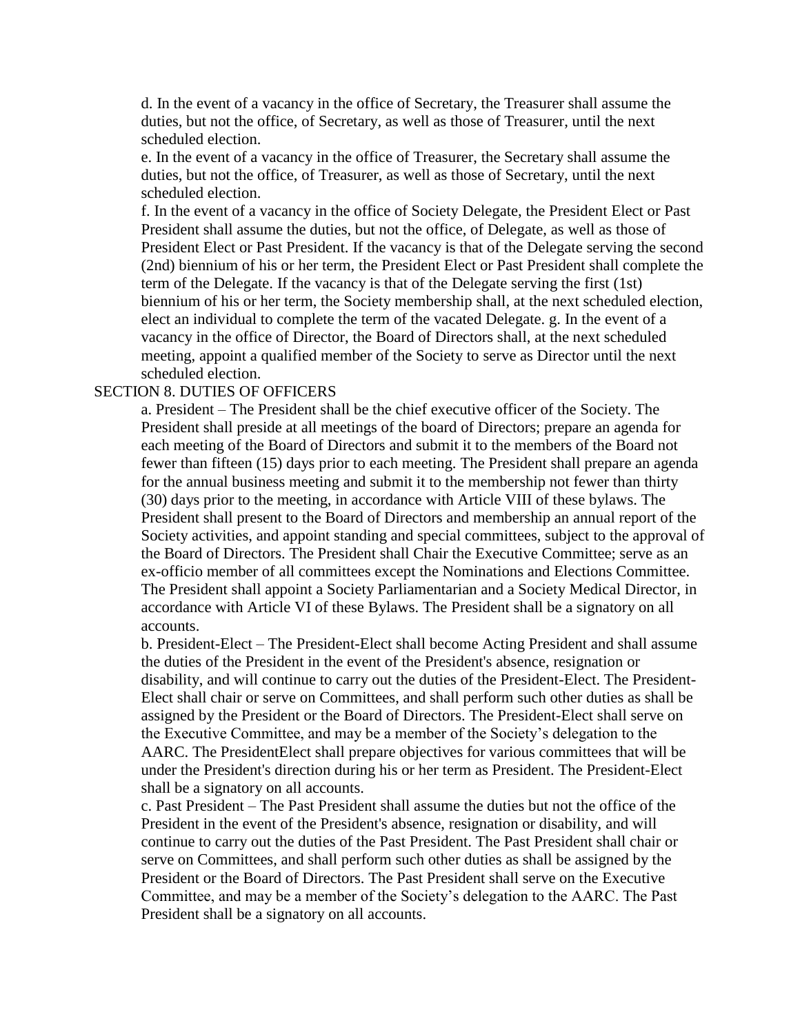d. In the event of a vacancy in the office of Secretary, the Treasurer shall assume the duties, but not the office, of Secretary, as well as those of Treasurer, until the next scheduled election.

e. In the event of a vacancy in the office of Treasurer, the Secretary shall assume the duties, but not the office, of Treasurer, as well as those of Secretary, until the next scheduled election.

f. In the event of a vacancy in the office of Society Delegate, the President Elect or Past President shall assume the duties, but not the office, of Delegate, as well as those of President Elect or Past President. If the vacancy is that of the Delegate serving the second (2nd) biennium of his or her term, the President Elect or Past President shall complete the term of the Delegate. If the vacancy is that of the Delegate serving the first (1st) biennium of his or her term, the Society membership shall, at the next scheduled election, elect an individual to complete the term of the vacated Delegate. g. In the event of a vacancy in the office of Director, the Board of Directors shall, at the next scheduled meeting, appoint a qualified member of the Society to serve as Director until the next scheduled election.

### SECTION 8. DUTIES OF OFFICERS

a. President – The President shall be the chief executive officer of the Society. The President shall preside at all meetings of the board of Directors; prepare an agenda for each meeting of the Board of Directors and submit it to the members of the Board not fewer than fifteen (15) days prior to each meeting. The President shall prepare an agenda for the annual business meeting and submit it to the membership not fewer than thirty (30) days prior to the meeting, in accordance with Article VIII of these bylaws. The President shall present to the Board of Directors and membership an annual report of the Society activities, and appoint standing and special committees, subject to the approval of the Board of Directors. The President shall Chair the Executive Committee; serve as an ex-officio member of all committees except the Nominations and Elections Committee. The President shall appoint a Society Parliamentarian and a Society Medical Director, in accordance with Article VI of these Bylaws. The President shall be a signatory on all accounts.

b. President-Elect – The President-Elect shall become Acting President and shall assume the duties of the President in the event of the President's absence, resignation or disability, and will continue to carry out the duties of the President-Elect. The President-Elect shall chair or serve on Committees, and shall perform such other duties as shall be assigned by the President or the Board of Directors. The President-Elect shall serve on the Executive Committee, and may be a member of the Society's delegation to the AARC. The PresidentElect shall prepare objectives for various committees that will be under the President's direction during his or her term as President. The President-Elect shall be a signatory on all accounts.

c. Past President – The Past President shall assume the duties but not the office of the President in the event of the President's absence, resignation or disability, and will continue to carry out the duties of the Past President. The Past President shall chair or serve on Committees, and shall perform such other duties as shall be assigned by the President or the Board of Directors. The Past President shall serve on the Executive Committee, and may be a member of the Society's delegation to the AARC. The Past President shall be a signatory on all accounts.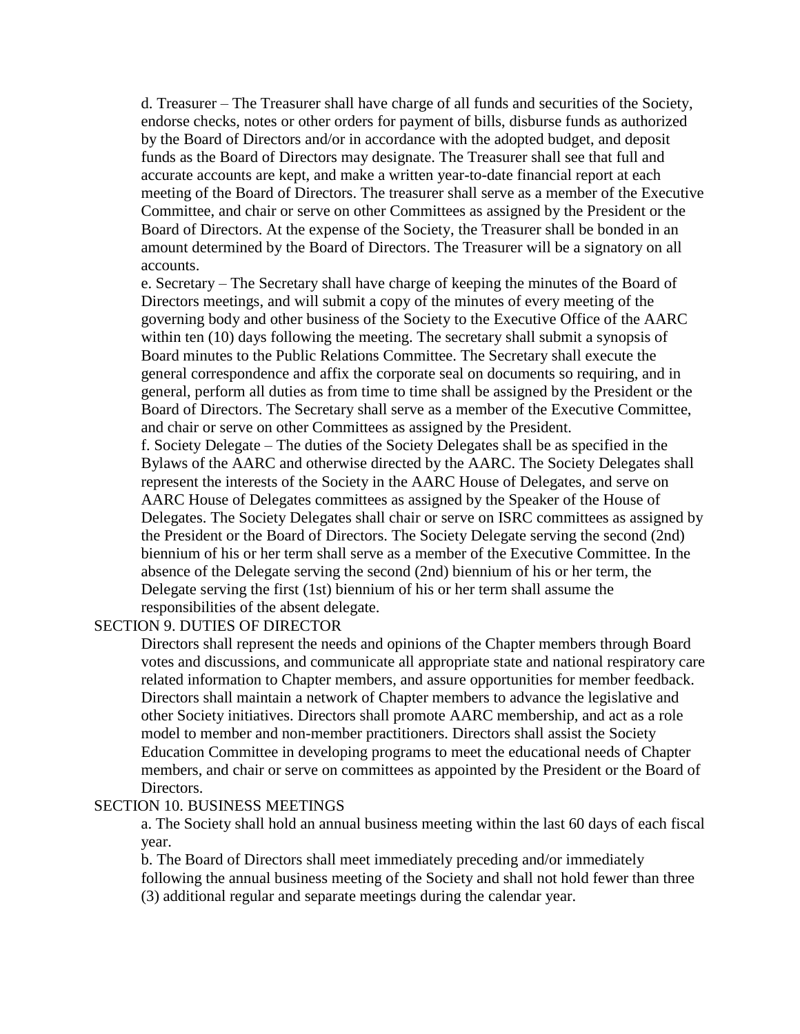d. Treasurer – The Treasurer shall have charge of all funds and securities of the Society, endorse checks, notes or other orders for payment of bills, disburse funds as authorized by the Board of Directors and/or in accordance with the adopted budget, and deposit funds as the Board of Directors may designate. The Treasurer shall see that full and accurate accounts are kept, and make a written year-to-date financial report at each meeting of the Board of Directors. The treasurer shall serve as a member of the Executive Committee, and chair or serve on other Committees as assigned by the President or the Board of Directors. At the expense of the Society, the Treasurer shall be bonded in an amount determined by the Board of Directors. The Treasurer will be a signatory on all accounts.

e. Secretary – The Secretary shall have charge of keeping the minutes of the Board of Directors meetings, and will submit a copy of the minutes of every meeting of the governing body and other business of the Society to the Executive Office of the AARC within ten (10) days following the meeting. The secretary shall submit a synopsis of Board minutes to the Public Relations Committee. The Secretary shall execute the general correspondence and affix the corporate seal on documents so requiring, and in general, perform all duties as from time to time shall be assigned by the President or the Board of Directors. The Secretary shall serve as a member of the Executive Committee, and chair or serve on other Committees as assigned by the President.

f. Society Delegate – The duties of the Society Delegates shall be as specified in the Bylaws of the AARC and otherwise directed by the AARC. The Society Delegates shall represent the interests of the Society in the AARC House of Delegates, and serve on AARC House of Delegates committees as assigned by the Speaker of the House of Delegates. The Society Delegates shall chair or serve on ISRC committees as assigned by the President or the Board of Directors. The Society Delegate serving the second (2nd) biennium of his or her term shall serve as a member of the Executive Committee. In the absence of the Delegate serving the second (2nd) biennium of his or her term, the Delegate serving the first (1st) biennium of his or her term shall assume the responsibilities of the absent delegate.

#### SECTION 9. DUTIES OF DIRECTOR

Directors shall represent the needs and opinions of the Chapter members through Board votes and discussions, and communicate all appropriate state and national respiratory care related information to Chapter members, and assure opportunities for member feedback. Directors shall maintain a network of Chapter members to advance the legislative and other Society initiatives. Directors shall promote AARC membership, and act as a role model to member and non-member practitioners. Directors shall assist the Society Education Committee in developing programs to meet the educational needs of Chapter members, and chair or serve on committees as appointed by the President or the Board of Directors.

#### SECTION 10. BUSINESS MEETINGS

a. The Society shall hold an annual business meeting within the last 60 days of each fiscal year.

b. The Board of Directors shall meet immediately preceding and/or immediately following the annual business meeting of the Society and shall not hold fewer than three (3) additional regular and separate meetings during the calendar year.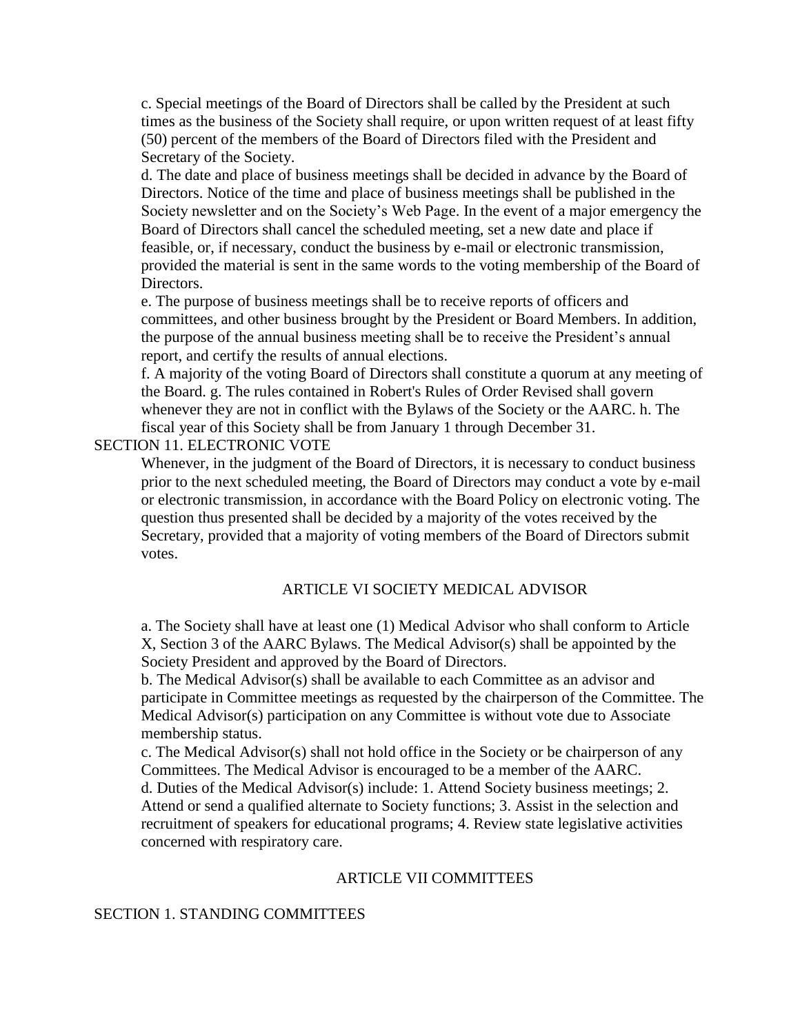c. Special meetings of the Board of Directors shall be called by the President at such times as the business of the Society shall require, or upon written request of at least fifty (50) percent of the members of the Board of Directors filed with the President and Secretary of the Society.

d. The date and place of business meetings shall be decided in advance by the Board of Directors. Notice of the time and place of business meetings shall be published in the Society newsletter and on the Society's Web Page. In the event of a major emergency the Board of Directors shall cancel the scheduled meeting, set a new date and place if feasible, or, if necessary, conduct the business by e-mail or electronic transmission, provided the material is sent in the same words to the voting membership of the Board of Directors.

e. The purpose of business meetings shall be to receive reports of officers and committees, and other business brought by the President or Board Members. In addition, the purpose of the annual business meeting shall be to receive the President's annual report, and certify the results of annual elections.

f. A majority of the voting Board of Directors shall constitute a quorum at any meeting of the Board. g. The rules contained in Robert's Rules of Order Revised shall govern whenever they are not in conflict with the Bylaws of the Society or the AARC. h. The fiscal year of this Society shall be from January 1 through December 31.

### SECTION 11. ELECTRONIC VOTE

Whenever, in the judgment of the Board of Directors, it is necessary to conduct business prior to the next scheduled meeting, the Board of Directors may conduct a vote by e-mail or electronic transmission, in accordance with the Board Policy on electronic voting. The question thus presented shall be decided by a majority of the votes received by the Secretary, provided that a majority of voting members of the Board of Directors submit votes.

#### ARTICLE VI SOCIETY MEDICAL ADVISOR

a. The Society shall have at least one (1) Medical Advisor who shall conform to Article X, Section 3 of the AARC Bylaws. The Medical Advisor(s) shall be appointed by the Society President and approved by the Board of Directors.

b. The Medical Advisor(s) shall be available to each Committee as an advisor and participate in Committee meetings as requested by the chairperson of the Committee. The Medical Advisor(s) participation on any Committee is without vote due to Associate membership status.

c. The Medical Advisor(s) shall not hold office in the Society or be chairperson of any Committees. The Medical Advisor is encouraged to be a member of the AARC. d. Duties of the Medical Advisor(s) include: 1. Attend Society business meetings; 2. Attend or send a qualified alternate to Society functions; 3. Assist in the selection and recruitment of speakers for educational programs; 4. Review state legislative activities concerned with respiratory care.

#### ARTICLE VII COMMITTEES

#### SECTION 1. STANDING COMMITTEES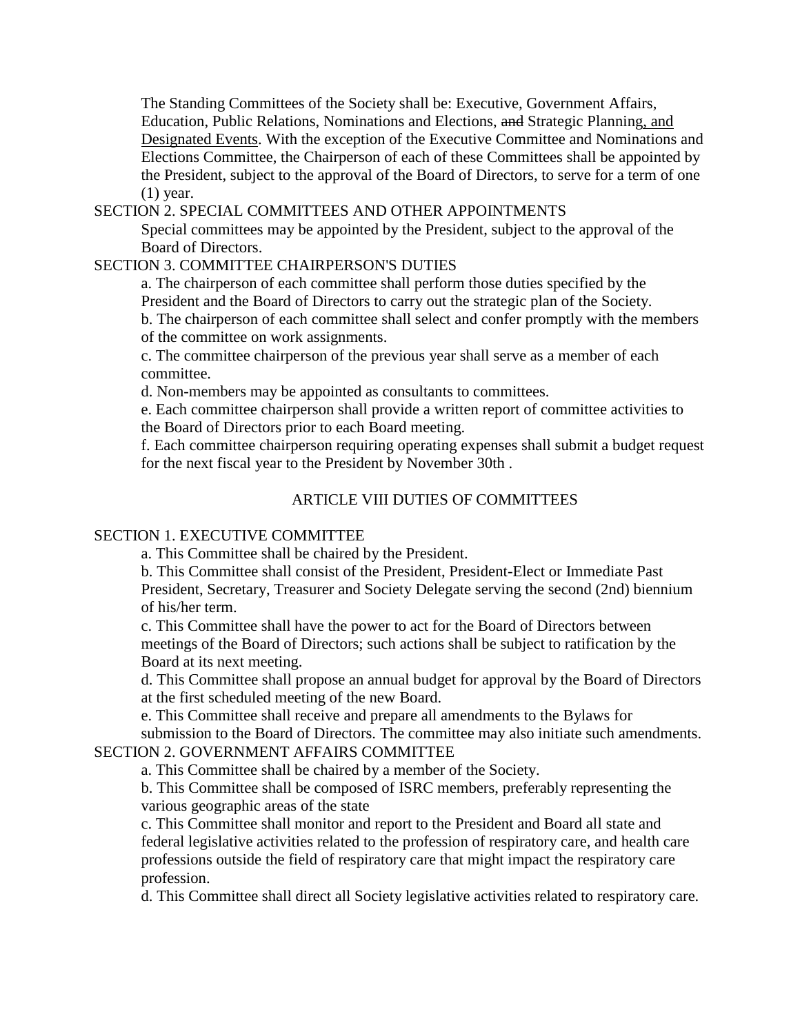The Standing Committees of the Society shall be: Executive, Government Affairs, Education, Public Relations, Nominations and Elections, and Strategic Planning, and Designated Events. With the exception of the Executive Committee and Nominations and Elections Committee, the Chairperson of each of these Committees shall be appointed by the President, subject to the approval of the Board of Directors, to serve for a term of one (1) year.

SECTION 2. SPECIAL COMMITTEES AND OTHER APPOINTMENTS

Special committees may be appointed by the President, subject to the approval of the Board of Directors.

## SECTION 3. COMMITTEE CHAIRPERSON'S DUTIES

a. The chairperson of each committee shall perform those duties specified by the President and the Board of Directors to carry out the strategic plan of the Society. b. The chairperson of each committee shall select and confer promptly with the members of the committee on work assignments.

c. The committee chairperson of the previous year shall serve as a member of each committee.

d. Non-members may be appointed as consultants to committees.

e. Each committee chairperson shall provide a written report of committee activities to the Board of Directors prior to each Board meeting.

f. Each committee chairperson requiring operating expenses shall submit a budget request for the next fiscal year to the President by November 30th .

## ARTICLE VIII DUTIES OF COMMITTEES

#### SECTION 1. EXECUTIVE COMMITTEE

a. This Committee shall be chaired by the President.

b. This Committee shall consist of the President, President-Elect or Immediate Past President, Secretary, Treasurer and Society Delegate serving the second (2nd) biennium of his/her term.

c. This Committee shall have the power to act for the Board of Directors between meetings of the Board of Directors; such actions shall be subject to ratification by the Board at its next meeting.

d. This Committee shall propose an annual budget for approval by the Board of Directors at the first scheduled meeting of the new Board.

e. This Committee shall receive and prepare all amendments to the Bylaws for

submission to the Board of Directors. The committee may also initiate such amendments. SECTION 2. GOVERNMENT AFFAIRS COMMITTEE

a. This Committee shall be chaired by a member of the Society.

b. This Committee shall be composed of ISRC members, preferably representing the various geographic areas of the state

c. This Committee shall monitor and report to the President and Board all state and federal legislative activities related to the profession of respiratory care, and health care professions outside the field of respiratory care that might impact the respiratory care profession.

d. This Committee shall direct all Society legislative activities related to respiratory care.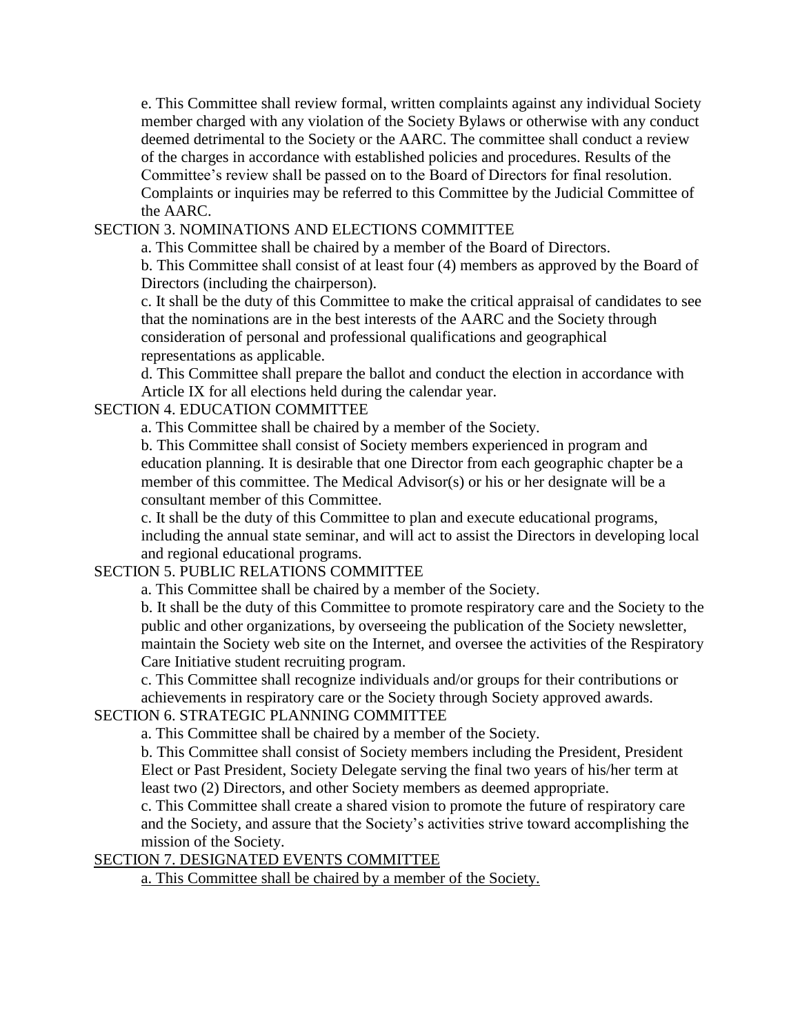e. This Committee shall review formal, written complaints against any individual Society member charged with any violation of the Society Bylaws or otherwise with any conduct deemed detrimental to the Society or the AARC. The committee shall conduct a review of the charges in accordance with established policies and procedures. Results of the Committee's review shall be passed on to the Board of Directors for final resolution. Complaints or inquiries may be referred to this Committee by the Judicial Committee of the AARC.

### SECTION 3. NOMINATIONS AND ELECTIONS COMMITTEE

a. This Committee shall be chaired by a member of the Board of Directors.

b. This Committee shall consist of at least four (4) members as approved by the Board of Directors (including the chairperson).

c. It shall be the duty of this Committee to make the critical appraisal of candidates to see that the nominations are in the best interests of the AARC and the Society through consideration of personal and professional qualifications and geographical representations as applicable.

d. This Committee shall prepare the ballot and conduct the election in accordance with Article IX for all elections held during the calendar year.

### SECTION 4. EDUCATION COMMITTEE

a. This Committee shall be chaired by a member of the Society.

b. This Committee shall consist of Society members experienced in program and education planning. It is desirable that one Director from each geographic chapter be a member of this committee. The Medical Advisor(s) or his or her designate will be a consultant member of this Committee.

c. It shall be the duty of this Committee to plan and execute educational programs, including the annual state seminar, and will act to assist the Directors in developing local and regional educational programs.

## SECTION 5. PUBLIC RELATIONS COMMITTEE

a. This Committee shall be chaired by a member of the Society.

b. It shall be the duty of this Committee to promote respiratory care and the Society to the public and other organizations, by overseeing the publication of the Society newsletter, maintain the Society web site on the Internet, and oversee the activities of the Respiratory Care Initiative student recruiting program.

c. This Committee shall recognize individuals and/or groups for their contributions or achievements in respiratory care or the Society through Society approved awards.

## SECTION 6. STRATEGIC PLANNING COMMITTEE

a. This Committee shall be chaired by a member of the Society.

b. This Committee shall consist of Society members including the President, President Elect or Past President, Society Delegate serving the final two years of his/her term at least two (2) Directors, and other Society members as deemed appropriate.

c. This Committee shall create a shared vision to promote the future of respiratory care and the Society, and assure that the Society's activities strive toward accomplishing the mission of the Society.

### SECTION 7. DESIGNATED EVENTS COMMITTEE

a. This Committee shall be chaired by a member of the Society.